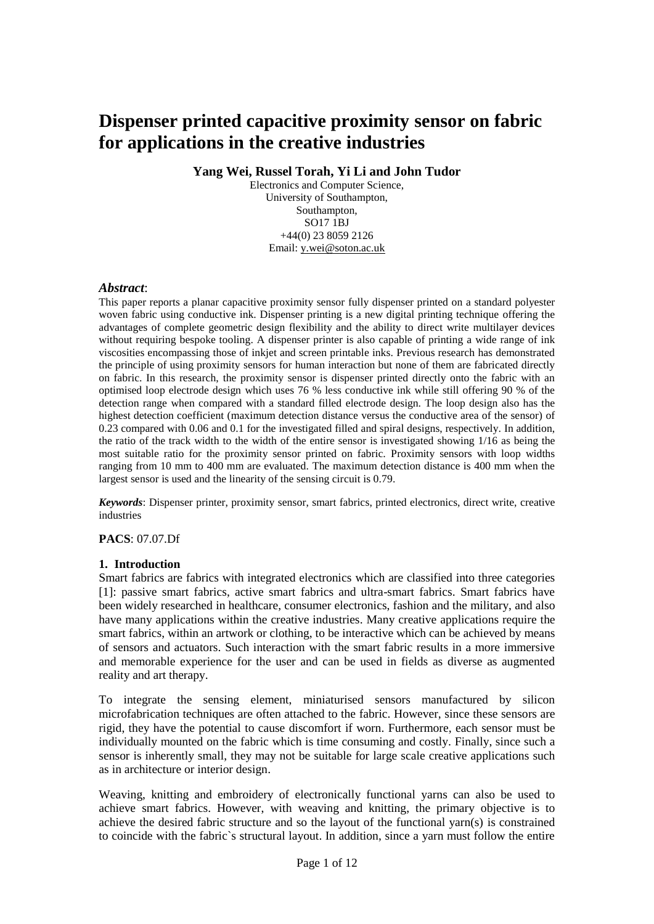# **Dispenser printed capacitive proximity sensor on fabric for applications in the creative industries**

**Yang Wei, Russel Torah, Yi Li and John Tudor**

Electronics and Computer Science, University of Southampton, Southampton,  $SO17$  1BJ +44(0) 23 8059 2126 Email: [y.wei@soton.ac.uk](mailto:y.wei@soton.ac.uk)

#### *Abstract*:

This paper reports a planar capacitive proximity sensor fully dispenser printed on a standard polyester woven fabric using conductive ink. Dispenser printing is a new digital printing technique offering the advantages of complete geometric design flexibility and the ability to direct write multilayer devices without requiring bespoke tooling. A dispenser printer is also capable of printing a wide range of ink viscosities encompassing those of inkjet and screen printable inks. Previous research has demonstrated the principle of using proximity sensors for human interaction but none of them are fabricated directly on fabric. In this research, the proximity sensor is dispenser printed directly onto the fabric with an optimised loop electrode design which uses 76 % less conductive ink while still offering 90 % of the detection range when compared with a standard filled electrode design. The loop design also has the highest detection coefficient (maximum detection distance versus the conductive area of the sensor) of 0.23 compared with 0.06 and 0.1 for the investigated filled and spiral designs, respectively. In addition, the ratio of the track width to the width of the entire sensor is investigated showing 1/16 as being the most suitable ratio for the proximity sensor printed on fabric. Proximity sensors with loop widths ranging from 10 mm to 400 mm are evaluated. The maximum detection distance is 400 mm when the largest sensor is used and the linearity of the sensing circuit is 0.79.

*Keywords*: Dispenser printer, proximity sensor, smart fabrics, printed electronics, direct write, creative industries

#### **PACS**: 07.07.Df

#### **1. Introduction**

Smart fabrics are fabrics with integrated electronics which are classified into three categories [1]: passive smart fabrics, active smart fabrics and ultra-smart fabrics. Smart fabrics have been widely researched in healthcare, consumer electronics, fashion and the military, and also have many applications within the creative industries. Many creative applications require the smart fabrics, within an artwork or clothing, to be interactive which can be achieved by means of sensors and actuators. Such interaction with the smart fabric results in a more immersive and memorable experience for the user and can be used in fields as diverse as augmented reality and art therapy.

To integrate the sensing element, miniaturised sensors manufactured by silicon microfabrication techniques are often attached to the fabric. However, since these sensors are rigid, they have the potential to cause discomfort if worn. Furthermore, each sensor must be individually mounted on the fabric which is time consuming and costly. Finally, since such a sensor is inherently small, they may not be suitable for large scale creative applications such as in architecture or interior design.

Weaving, knitting and embroidery of electronically functional yarns can also be used to achieve smart fabrics. However, with weaving and knitting, the primary objective is to achieve the desired fabric structure and so the layout of the functional yarn(s) is constrained to coincide with the fabric`s structural layout. In addition, since a yarn must follow the entire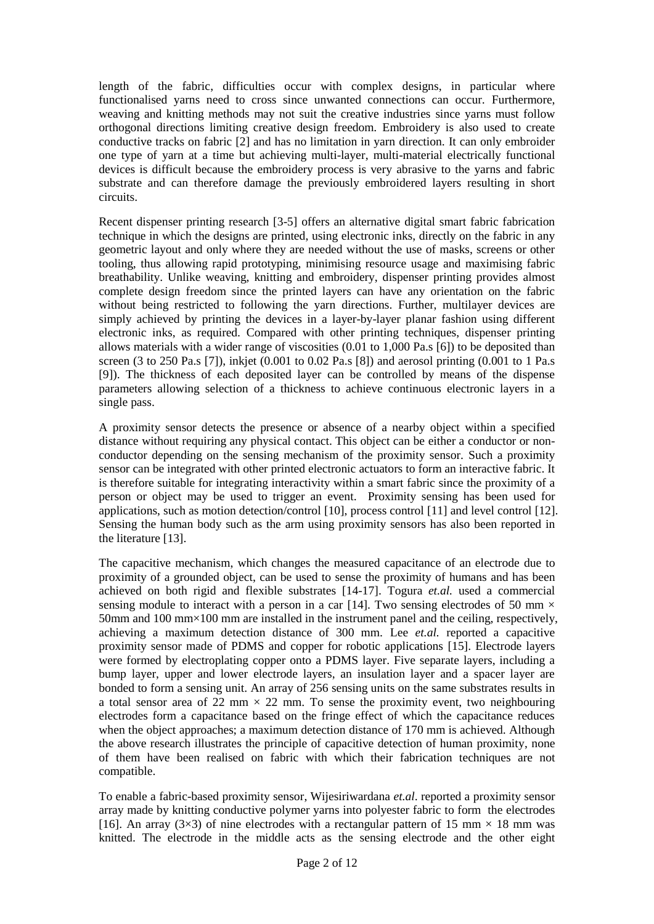length of the fabric, difficulties occur with complex designs, in particular where functionalised yarns need to cross since unwanted connections can occur. Furthermore, weaving and knitting methods may not suit the creative industries since yarns must follow orthogonal directions limiting creative design freedom. Embroidery is also used to create conductive tracks on fabric [2] and has no limitation in yarn direction. It can only embroider one type of yarn at a time but achieving multi-layer, multi-material electrically functional devices is difficult because the embroidery process is very abrasive to the yarns and fabric substrate and can therefore damage the previously embroidered layers resulting in short circuits.

Recent dispenser printing research [3-5] offers an alternative digital smart fabric fabrication technique in which the designs are printed, using electronic inks, directly on the fabric in any geometric layout and only where they are needed without the use of masks, screens or other tooling, thus allowing rapid prototyping, minimising resource usage and maximising fabric breathability. Unlike weaving, knitting and embroidery, dispenser printing provides almost complete design freedom since the printed layers can have any orientation on the fabric without being restricted to following the yarn directions. Further, multilayer devices are simply achieved by printing the devices in a layer-by-layer planar fashion using different electronic inks, as required. Compared with other printing techniques, dispenser printing allows materials with a wider range of viscosities (0.01 to 1,000 Pa.s [6]) to be deposited than screen (3 to 250 Pa.s [7]), inkjet (0.001 to 0.02 Pa.s [8]) and aerosol printing (0.001 to 1 Pa.s [9]). The thickness of each deposited layer can be controlled by means of the dispense parameters allowing selection of a thickness to achieve continuous electronic layers in a single pass.

A proximity sensor detects the presence or absence of a nearby object within a specified distance without requiring any physical contact. This object can be either a conductor or nonconductor depending on the sensing mechanism of the proximity sensor. Such a proximity sensor can be integrated with other printed electronic actuators to form an interactive fabric. It is therefore suitable for integrating interactivity within a smart fabric since the proximity of a person or object may be used to trigger an event. Proximity sensing has been used for applications, such as motion detection/control [10], process control [11] and level control [12]. Sensing the human body such as the arm using proximity sensors has also been reported in the literature [13].

The capacitive mechanism, which changes the measured capacitance of an electrode due to proximity of a grounded object, can be used to sense the proximity of humans and has been achieved on both rigid and flexible substrates [14-17]. Togura *et.al.* used a commercial sensing module to interact with a person in a car [14]. Two sensing electrodes of 50 mm  $\times$ 50mm and 100 mm×100 mm are installed in the instrument panel and the ceiling, respectively, achieving a maximum detection distance of 300 mm. Lee *et.al.* reported a capacitive proximity sensor made of PDMS and copper for robotic applications [15]. Electrode layers were formed by electroplating copper onto a PDMS layer. Five separate layers, including a bump layer, upper and lower electrode layers, an insulation layer and a spacer layer are bonded to form a sensing unit. An array of 256 sensing units on the same substrates results in a total sensor area of 22 mm  $\times$  22 mm. To sense the proximity event, two neighbouring electrodes form a capacitance based on the fringe effect of which the capacitance reduces when the object approaches; a maximum detection distance of 170 mm is achieved. Although the above research illustrates the principle of capacitive detection of human proximity, none of them have been realised on fabric with which their fabrication techniques are not compatible.

To enable a fabric-based proximity sensor, Wijesiriwardana *et.al*. reported a proximity sensor array made by knitting conductive polymer yarns into polyester fabric to form the electrodes [16]. An array (3×3) of nine electrodes with a rectangular pattern of 15 mm  $\times$  18 mm was knitted. The electrode in the middle acts as the sensing electrode and the other eight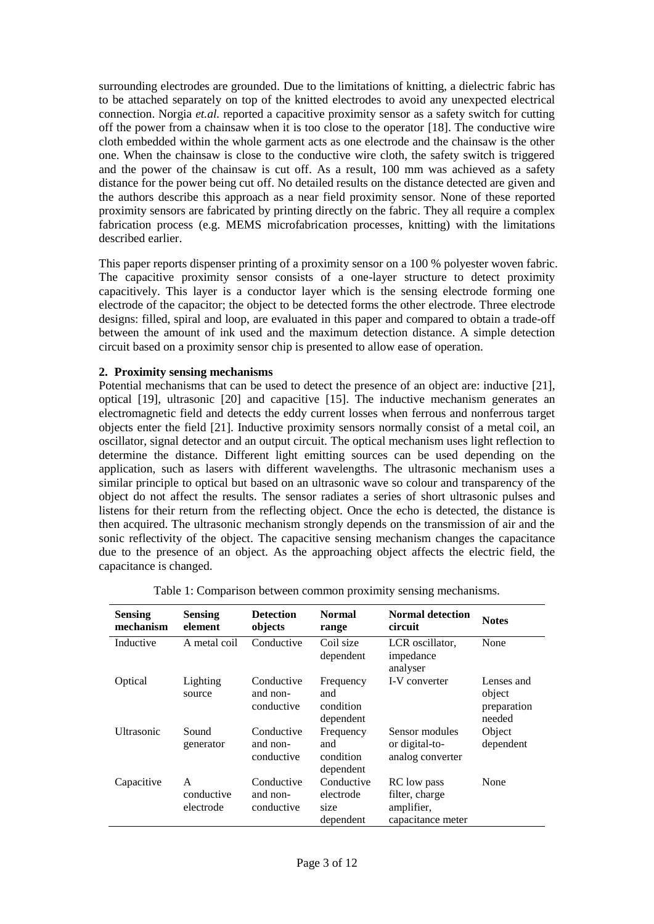surrounding electrodes are grounded. Due to the limitations of knitting, a dielectric fabric has to be attached separately on top of the knitted electrodes to avoid any unexpected electrical connection. Norgia *et.al.* reported a capacitive proximity sensor as a safety switch for cutting off the power from a chainsaw when it is too close to the operator [18]. The conductive wire cloth embedded within the whole garment acts as one electrode and the chainsaw is the other one. When the chainsaw is close to the conductive wire cloth, the safety switch is triggered and the power of the chainsaw is cut off. As a result, 100 mm was achieved as a safety distance for the power being cut off. No detailed results on the distance detected are given and the authors describe this approach as a near field proximity sensor. None of these reported proximity sensors are fabricated by printing directly on the fabric. They all require a complex fabrication process (e.g. MEMS microfabrication processes, knitting) with the limitations described earlier.

This paper reports dispenser printing of a proximity sensor on a 100 % polyester woven fabric. The capacitive proximity sensor consists of a one-layer structure to detect proximity capacitively. This layer is a conductor layer which is the sensing electrode forming one electrode of the capacitor; the object to be detected forms the other electrode. Three electrode designs: filled, spiral and loop, are evaluated in this paper and compared to obtain a trade-off between the amount of ink used and the maximum detection distance. A simple detection circuit based on a proximity sensor chip is presented to allow ease of operation.

#### **2. Proximity sensing mechanisms**

Potential mechanisms that can be used to detect the presence of an object are: inductive [21], optical [19], ultrasonic [20] and capacitive [15]. The inductive mechanism generates an electromagnetic field and detects the eddy current losses when ferrous and nonferrous target objects enter the field [21]. Inductive proximity sensors normally consist of a metal coil, an oscillator, signal detector and an output circuit. The optical mechanism uses light reflection to determine the distance. Different light emitting sources can be used depending on the application, such as lasers with different wavelengths. The ultrasonic mechanism uses a similar principle to optical but based on an ultrasonic wave so colour and transparency of the object do not affect the results. The sensor radiates a series of short ultrasonic pulses and listens for their return from the reflecting object. Once the echo is detected, the distance is then acquired. The ultrasonic mechanism strongly depends on the transmission of air and the sonic reflectivity of the object. The capacitive sensing mechanism changes the capacitance due to the presence of an object. As the approaching object affects the electric field, the capacitance is changed.

<span id="page-2-0"></span>

| <b>Sensing</b><br>mechanism | <b>Sensing</b><br>element    | <b>Detection</b><br>objects          | Normal<br>range                              | <b>Normal detection</b><br>circuit                               | <b>Notes</b>                                  |
|-----------------------------|------------------------------|--------------------------------------|----------------------------------------------|------------------------------------------------------------------|-----------------------------------------------|
| Inductive                   | A metal coil                 | Conductive                           | Coil size<br>dependent                       | LCR oscillator,<br>impedance<br>analyser                         | None                                          |
| Optical                     | Lighting<br>source           | Conductive<br>and non-<br>conductive | Frequency<br>and<br>condition<br>dependent   | I-V converter                                                    | Lenses and<br>object<br>preparation<br>needed |
| Ultrasonic                  | Sound<br>generator           | Conductive<br>and non-<br>conductive | Frequency<br>and<br>condition<br>dependent   | Sensor modules<br>or digital-to-<br>analog converter             | Object<br>dependent                           |
| Capacitive                  | A<br>conductive<br>electrode | Conductive<br>and non-<br>conductive | Conductive<br>electrode<br>size<br>dependent | RC low pass<br>filter, charge<br>amplifier,<br>capacitance meter | None                                          |

Table 1: Comparison between common proximity sensing mechanisms.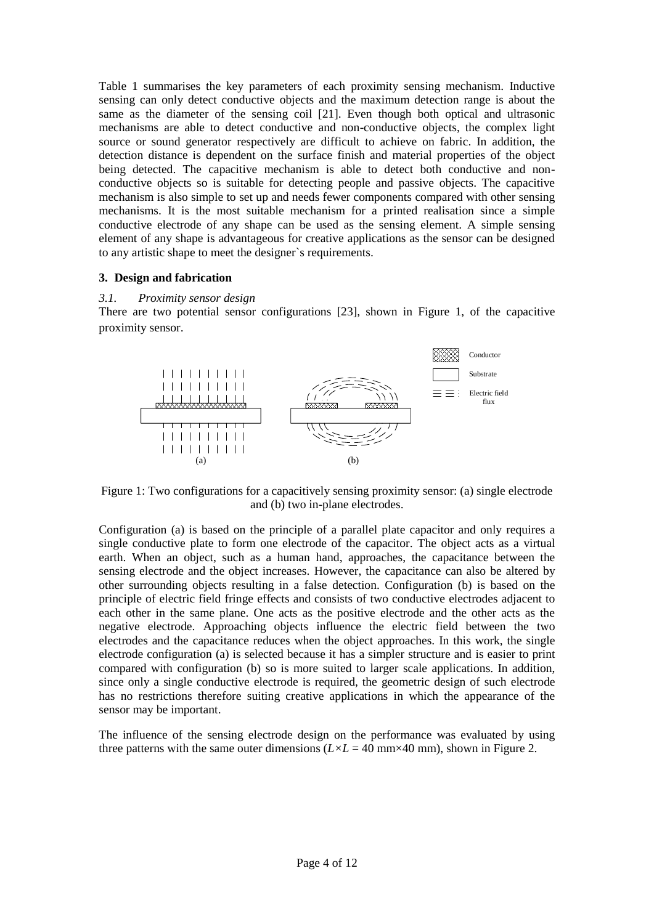[Table 1](#page-2-0) summarises the key parameters of each proximity sensing mechanism. Inductive sensing can only detect conductive objects and the maximum detection range is about the same as the diameter of the sensing coil [21]. Even though both optical and ultrasonic mechanisms are able to detect conductive and non-conductive objects, the complex light source or sound generator respectively are difficult to achieve on fabric. In addition, the detection distance is dependent on the surface finish and material properties of the object being detected. The capacitive mechanism is able to detect both conductive and nonconductive objects so is suitable for detecting people and passive objects. The capacitive mechanism is also simple to set up and needs fewer components compared with other sensing mechanisms. It is the most suitable mechanism for a printed realisation since a simple conductive electrode of any shape can be used as the sensing element. A simple sensing element of any shape is advantageous for creative applications as the sensor can be designed to any artistic shape to meet the designer`s requirements.

#### **3. Design and fabrication**

#### *3.1. Proximity sensor design*

There are two potential sensor configurations [23], shown in Figure 1, of the capacitive proximity sensor.



Figure 1: Two configurations for a capacitively sensing proximity sensor: (a) single electrode and (b) two in-plane electrodes.

Configuration (a) is based on the principle of a parallel plate capacitor and only requires a single conductive plate to form one electrode of the capacitor. The object acts as a virtual earth. When an object, such as a human hand, approaches, the capacitance between the sensing electrode and the object increases. However, the capacitance can also be altered by other surrounding objects resulting in a false detection. Configuration (b) is based on the principle of electric field fringe effects and consists of two conductive electrodes adjacent to each other in the same plane. One acts as the positive electrode and the other acts as the negative electrode. Approaching objects influence the electric field between the two electrodes and the capacitance reduces when the object approaches. In this work, the single electrode configuration (a) is selected because it has a simpler structure and is easier to print compared with configuration (b) so is more suited to larger scale applications. In addition, since only a single conductive electrode is required, the geometric design of such electrode has no restrictions therefore suiting creative applications in which the appearance of the sensor may be important.

The influence of the sensing electrode design on the performance was evaluated by using three patterns with the same outer dimensions  $(L \times L = 40 \text{ mm} \times 40 \text{ mm})$ , shown in [Figure 2.](#page-4-0)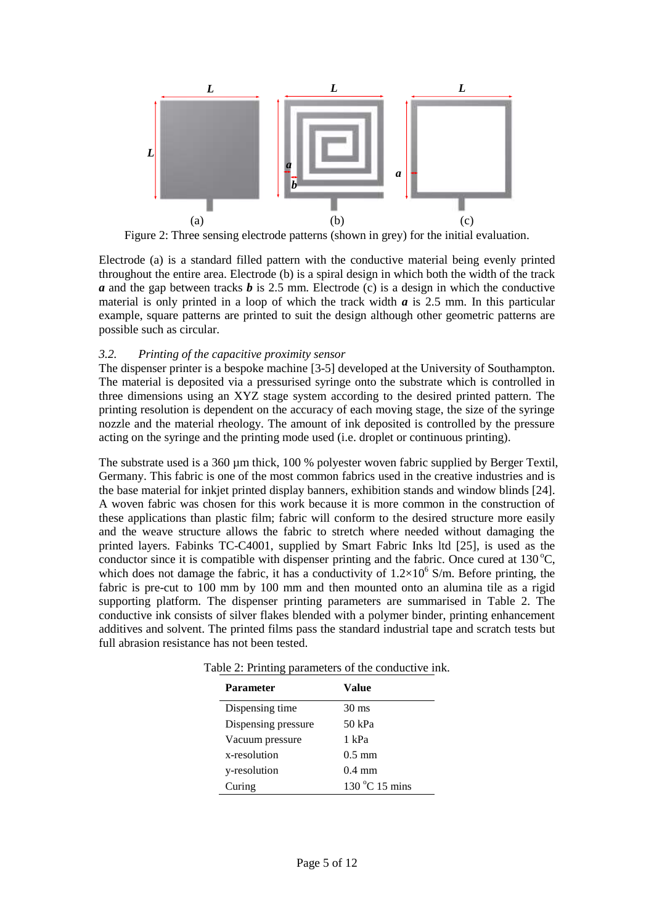

Figure 2: Three sensing electrode patterns (shown in grey) for the initial evaluation.

<span id="page-4-0"></span>Electrode (a) is a standard filled pattern with the conductive material being evenly printed throughout the entire area. Electrode (b) is a spiral design in which both the width of the track *a* and the gap between tracks *b* is 2.5 mm. Electrode (c) is a design in which the conductive material is only printed in a loop of which the track width *a* is 2.5 mm. In this particular example, square patterns are printed to suit the design although other geometric patterns are possible such as circular.

#### *3.2. Printing of the capacitive proximity sensor*

The dispenser printer is a bespoke machine [3-5] developed at the University of Southampton. The material is deposited via a pressurised syringe onto the substrate which is controlled in three dimensions using an XYZ stage system according to the desired printed pattern. The printing resolution is dependent on the accuracy of each moving stage, the size of the syringe nozzle and the material rheology. The amount of ink deposited is controlled by the pressure acting on the syringe and the printing mode used (i.e. droplet or continuous printing).

The substrate used is a 360 µm thick, 100 % polyester woven fabric supplied by Berger Textil, Germany. This fabric is one of the most common fabrics used in the creative industries and is the base material for inkjet printed display banners, exhibition stands and window blinds [24]. A woven fabric was chosen for this work because it is more common in the construction of these applications than plastic film; fabric will conform to the desired structure more easily and the weave structure allows the fabric to stretch where needed without damaging the printed layers. Fabinks TC-C4001, supplied by Smart Fabric Inks ltd [25], is used as the conductor since it is compatible with dispenser printing and the fabric. Once cured at  $130^{\circ}$ C, which does not damage the fabric, it has a conductivity of  $1.2 \times 10^6$  S/m. Before printing, the fabric is pre-cut to 100 mm by 100 mm and then mounted onto an alumina tile as a rigid supporting platform. The dispenser printing parameters are summarised in [Table 2.](#page-4-1) The conductive ink consists of silver flakes blended with a polymer binder, printing enhancement additives and solvent. The printed films pass the standard industrial tape and scratch tests but full abrasion resistance has not been tested.

| <b>Parameter</b>    | Value            |  |  |
|---------------------|------------------|--|--|
| Dispensing time     | $30 \text{ ms}$  |  |  |
| Dispensing pressure | 50 kPa           |  |  |
| Vacuum pressure     | 1 kPa            |  |  |
| x-resolution        | $0.5 \text{ mm}$ |  |  |

y-resolution 0.4 mm

Curing  $130 \degree C 15 \text{ mins}$ 

<span id="page-4-1"></span>Table 2: Printing parameters of the conductive ink.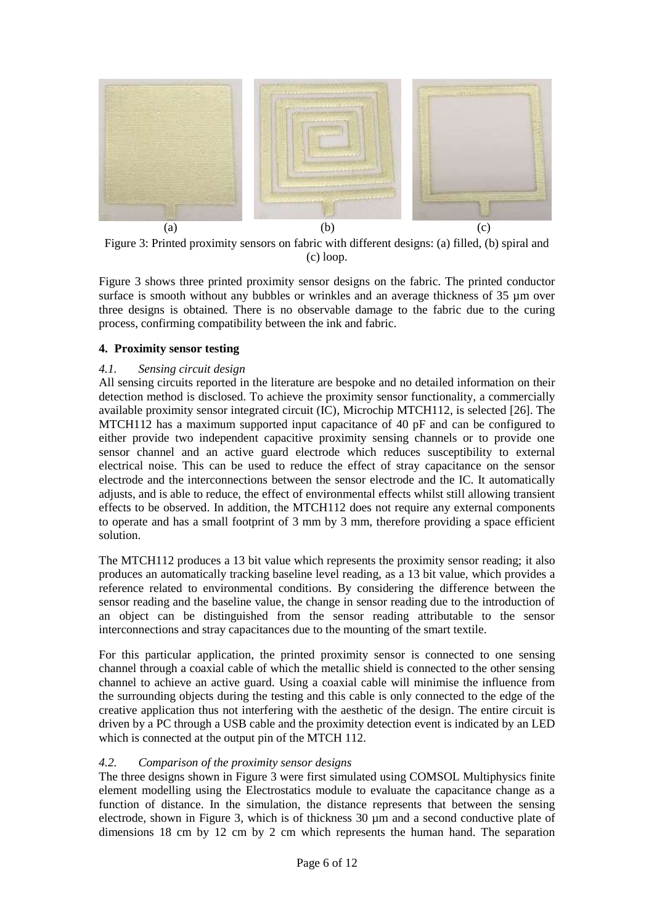

<span id="page-5-0"></span>Figure 3: Printed proximity sensors on fabric with different designs: (a) filled, (b) spiral and (c) loop.

[Figure 3](#page-5-0) shows three printed proximity sensor designs on the fabric. The printed conductor surface is smooth without any bubbles or wrinkles and an average thickness of 35 µm over three designs is obtained. There is no observable damage to the fabric due to the curing process, confirming compatibility between the ink and fabric.

## **4. Proximity sensor testing**

## *4.1. Sensing circuit design*

All sensing circuits reported in the literature are bespoke and no detailed information on their detection method is disclosed. To achieve the proximity sensor functionality, a commercially available proximity sensor integrated circuit (IC), Microchip MTCH112, is selected [26]. The MTCH112 has a maximum supported input capacitance of 40 pF and can be configured to either provide two independent capacitive proximity sensing channels or to provide one sensor channel and an active guard electrode which reduces susceptibility to external electrical noise. This can be used to reduce the effect of stray capacitance on the sensor electrode and the interconnections between the sensor electrode and the IC. It automatically adjusts, and is able to reduce, the effect of environmental effects whilst still allowing transient effects to be observed. In addition, the MTCH112 does not require any external components to operate and has a small footprint of 3 mm by 3 mm, therefore providing a space efficient solution.

The MTCH112 produces a 13 bit value which represents the proximity sensor reading; it also produces an automatically tracking baseline level reading, as a 13 bit value, which provides a reference related to environmental conditions. By considering the difference between the sensor reading and the baseline value, the change in sensor reading due to the introduction of an object can be distinguished from the sensor reading attributable to the sensor interconnections and stray capacitances due to the mounting of the smart textile.

For this particular application, the printed proximity sensor is connected to one sensing channel through a coaxial cable of which the metallic shield is connected to the other sensing channel to achieve an active guard. Using a coaxial cable will minimise the influence from the surrounding objects during the testing and this cable is only connected to the edge of the creative application thus not interfering with the aesthetic of the design. The entire circuit is driven by a PC through a USB cable and the proximity detection event is indicated by an LED which is connected at the output pin of the MTCH 112.

## *4.2. Comparison of the proximity sensor designs*

The three designs shown in [Figure 3](#page-5-0) were first simulated using COMSOL Multiphysics finite element modelling using the Electrostatics module to evaluate the capacitance change as a function of distance. In the simulation, the distance represents that between the sensing electrode, shown in [Figure 3,](#page-5-0) which is of thickness 30 µm and a second conductive plate of dimensions 18 cm by 12 cm by 2 cm which represents the human hand. The separation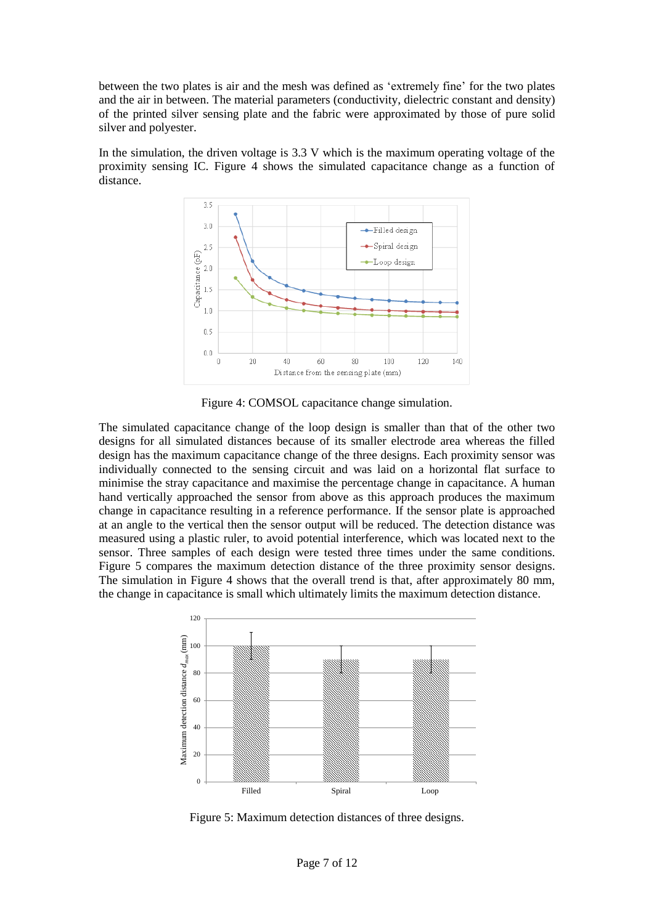between the two plates is air and the mesh was defined as 'extremely fine' for the two plates and the air in between. The material parameters (conductivity, dielectric constant and density) of the printed silver sensing plate and the fabric were approximated by those of pure solid silver and polyester.

In the simulation, the driven voltage is 3.3 V which is the maximum operating voltage of the proximity sensing IC. [Figure 4](#page-6-0) shows the simulated capacitance change as a function of distance.



Figure 4: COMSOL capacitance change simulation.

<span id="page-6-0"></span>The simulated capacitance change of the loop design is smaller than that of the other two designs for all simulated distances because of its smaller electrode area whereas the filled design has the maximum capacitance change of the three designs. Each proximity sensor was individually connected to the sensing circuit and was laid on a horizontal flat surface to minimise the stray capacitance and maximise the percentage change in capacitance. A human hand vertically approached the sensor from above as this approach produces the maximum change in capacitance resulting in a reference performance. If the sensor plate is approached at an angle to the vertical then the sensor output will be reduced. The detection distance was measured using a plastic ruler, to avoid potential interference, which was located next to the sensor. Three samples of each design were tested three times under the same conditions. [Figure 5](#page-6-1) compares the maximum detection distance of the three proximity sensor designs. The simulation in [Figure 4](#page-6-0) shows that the overall trend is that, after approximately 80 mm, the change in capacitance is small which ultimately limits the maximum detection distance.



<span id="page-6-1"></span>Figure 5: Maximum detection distances of three designs.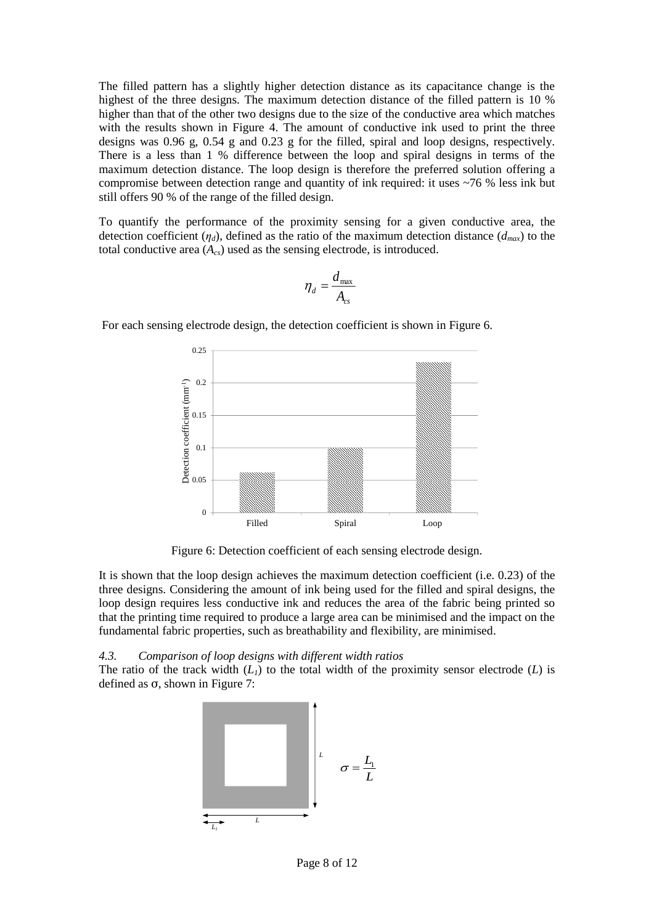The filled pattern has a slightly higher detection distance as its capacitance change is the highest of the three designs. The maximum detection distance of the filled pattern is 10 % higher than that of the other two designs due to the size of the conductive area which matches with the results shown in [Figure 4.](#page-6-0) The amount of conductive ink used to print the three designs was 0.96 g, 0.54 g and 0.23 g for the filled, spiral and loop designs, respectively. There is a less than 1 % difference between the loop and spiral designs in terms of the maximum detection distance. The loop design is therefore the preferred solution offering a compromise between detection range and quantity of ink required: it uses ~76 % less ink but still offers 90 % of the range of the filled design.

To quantify the performance of the proximity sensing for a given conductive area, the detection coefficient  $(\eta_d)$ , defined as the ratio of the maximum detection distance  $(d_{max})$  to the total conductive area (*Acs*) used as the sensing electrode, is introduced.

$$
\eta_d = \frac{d_{\max}}{A_{cs}}
$$



For each sensing electrode design, the detection coefficient is shown i[n Figure 6.](#page-7-0)

Figure 6: Detection coefficient of each sensing electrode design.

<span id="page-7-0"></span>It is shown that the loop design achieves the maximum detection coefficient (i.e. 0.23) of the three designs. Considering the amount of ink being used for the filled and spiral designs, the loop design requires less conductive ink and reduces the area of the fabric being printed so that the printing time required to produce a large area can be minimised and the impact on the fundamental fabric properties, such as breathability and flexibility, are minimised.

#### *4.3. Comparison of loop designs with different width ratios*

The ratio of the track width  $(L_l)$  to the total width of the proximity sensor electrode  $(L)$  is defined as σ, shown in [Figure 7:](#page-8-0)

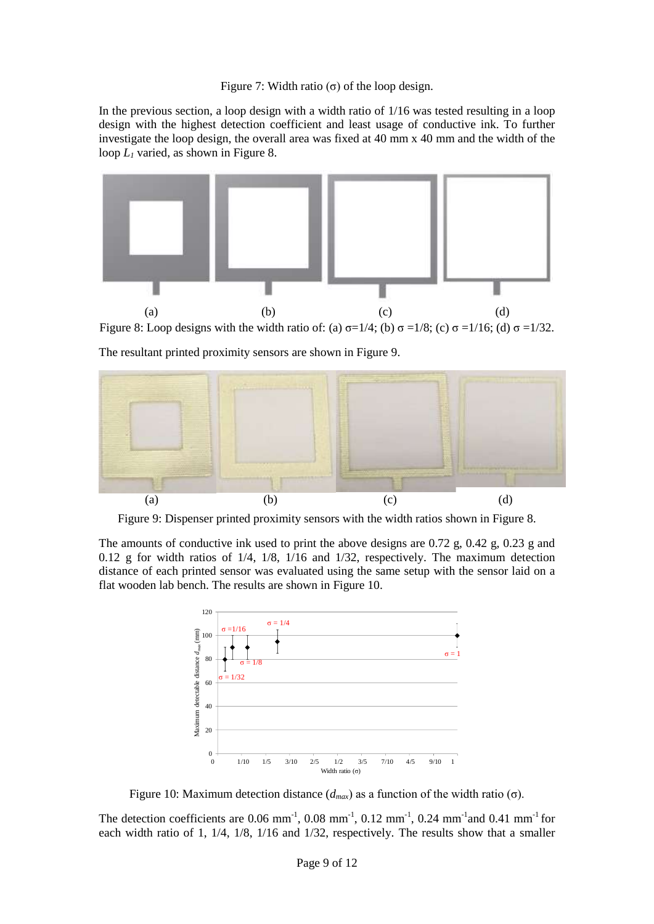Figure 7: Width ratio (σ) of the loop design.

<span id="page-8-0"></span>In the previous section, a loop design with a width ratio of 1/16 was tested resulting in a loop design with the highest detection coefficient and least usage of conductive ink. To further investigate the loop design, the overall area was fixed at 40 mm x 40 mm and the width of the loop  $L<sub>1</sub>$  varied, as shown in [Figure 8.](#page-8-1)



<span id="page-8-1"></span>Figure 8: Loop designs with the width ratio of: (a)  $\sigma$ =1/4; (b)  $\sigma$ =1/8; (c)  $\sigma$ =1/16; (d)  $\sigma$ =1/32.

The resultant printed proximity sensors are shown in [Figure 9.](#page-8-2)



<span id="page-8-2"></span>Figure 9: Dispenser printed proximity sensors with the width ratios shown in [Figure 8.](#page-8-1)

The amounts of conductive ink used to print the above designs are 0.72 g, 0.42 g, 0.23 g and 0.12 g for width ratios of 1/4, 1/8, 1/16 and 1/32, respectively. The maximum detection distance of each printed sensor was evaluated using the same setup with the sensor laid on a flat wooden lab bench. The results are shown in [Figure 10.](#page-8-3)



Figure 10: Maximum detection distance (*dmax*) as a function of the width ratio (σ).

<span id="page-8-3"></span>The detection coefficients are 0.06 mm<sup>-1</sup>, 0.08 mm<sup>-1</sup>, 0.12 mm<sup>-1</sup>, 0.24 mm<sup>-1</sup> and 0.41 mm<sup>-1</sup> for each width ratio of 1, 1/4, 1/8, 1/16 and 1/32, respectively. The results show that a smaller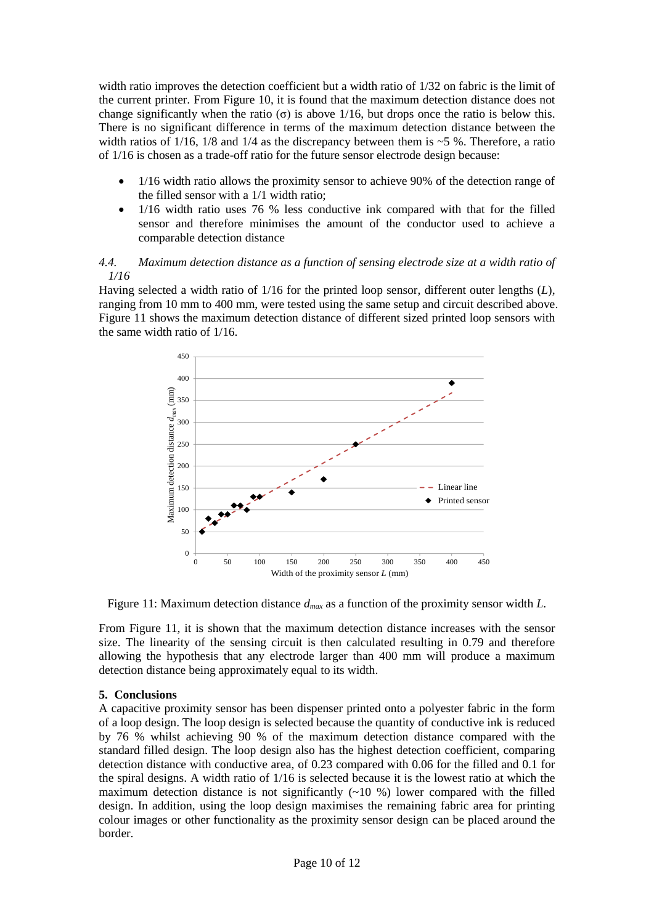width ratio improves the detection coefficient but a width ratio of 1/32 on fabric is the limit of the current printer. From [Figure 10,](#page-8-3) it is found that the maximum detection distance does not change significantly when the ratio ( $\sigma$ ) is above 1/16, but drops once the ratio is below this. There is no significant difference in terms of the maximum detection distance between the width ratios of  $1/16$ ,  $1/8$  and  $1/4$  as the discrepancy between them is  $\sim$  5 %. Therefore, a ratio of 1/16 is chosen as a trade-off ratio for the future sensor electrode design because:

- 1/16 width ratio allows the proximity sensor to achieve 90% of the detection range of the filled sensor with a 1/1 width ratio;
- 1/16 width ratio uses 76 % less conductive ink compared with that for the filled sensor and therefore minimises the amount of the conductor used to achieve a comparable detection distance

#### *4.4. Maximum detection distance as a function of sensing electrode size at a width ratio of 1/16*

Having selected a width ratio of 1/16 for the printed loop sensor, different outer lengths (*L*), ranging from 10 mm to 400 mm, were tested using the same setup and circuit described above. [Figure 11](#page-9-0) shows the maximum detection distance of different sized printed loop sensors with the same width ratio of 1/16.



<span id="page-9-0"></span>Figure 11: Maximum detection distance *dmax* as a function of the proximity sensor width *L*.

From [Figure 11,](#page-9-0) it is shown that the maximum detection distance increases with the sensor size. The linearity of the sensing circuit is then calculated resulting in 0.79 and therefore allowing the hypothesis that any electrode larger than 400 mm will produce a maximum detection distance being approximately equal to its width.

# **5. Conclusions**

A capacitive proximity sensor has been dispenser printed onto a polyester fabric in the form of a loop design. The loop design is selected because the quantity of conductive ink is reduced by 76 % whilst achieving 90 % of the maximum detection distance compared with the standard filled design. The loop design also has the highest detection coefficient, comparing detection distance with conductive area, of 0.23 compared with 0.06 for the filled and 0.1 for the spiral designs. A width ratio of 1/16 is selected because it is the lowest ratio at which the maximum detection distance is not significantly  $(-10\%)$  lower compared with the filled design. In addition, using the loop design maximises the remaining fabric area for printing colour images or other functionality as the proximity sensor design can be placed around the border.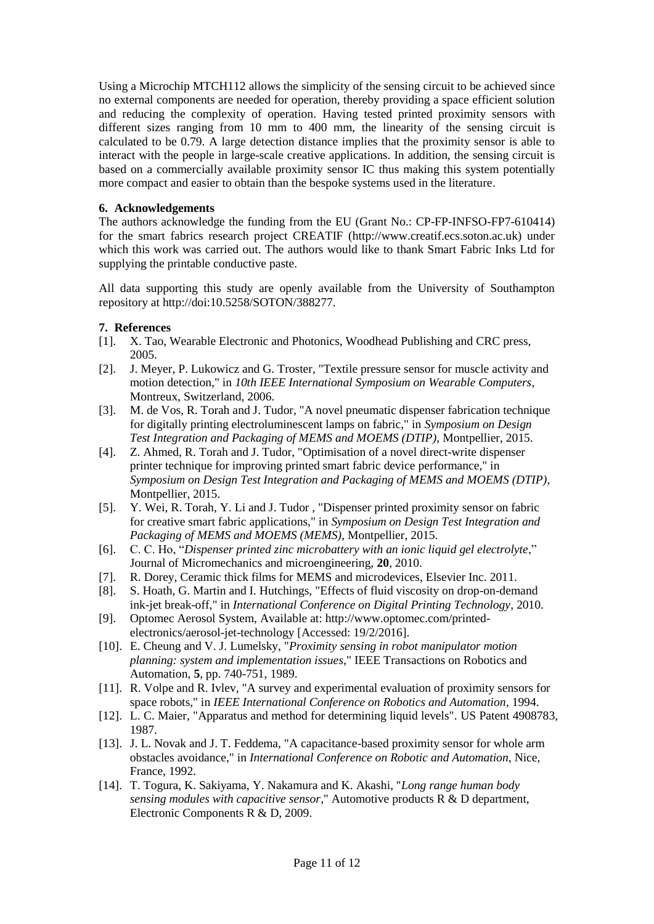Using a Microchip MTCH112 allows the simplicity of the sensing circuit to be achieved since no external components are needed for operation, thereby providing a space efficient solution and reducing the complexity of operation. Having tested printed proximity sensors with different sizes ranging from 10 mm to 400 mm, the linearity of the sensing circuit is calculated to be 0.79. A large detection distance implies that the proximity sensor is able to interact with the people in large-scale creative applications. In addition, the sensing circuit is based on a commercially available proximity sensor IC thus making this system potentially more compact and easier to obtain than the bespoke systems used in the literature.

# **6. Acknowledgements**

The authors acknowledge the funding from the EU (Grant No.: CP-FP-INFSO-FP7-610414) for the smart fabrics research project CREATIF (http://www.creatif.ecs.soton.ac.uk) under which this work was carried out. The authors would like to thank Smart Fabric Inks Ltd for supplying the printable conductive paste.

All data supporting this study are openly available from the University of Southampton repository at http://doi:10.5258/SOTON/388277.

# **7. References**

- [1]. X. Tao, Wearable Electronic and Photonics, Woodhead Publishing and CRC press, 2005.
- [2]. J. Meyer, P. Lukowicz and G. Troster, "Textile pressure sensor for muscle activity and motion detection," in *10th IEEE International Symposium on Wearable Computers*, Montreux, Switzerland, 2006.
- [3]. M. de Vos, R. Torah and J. Tudor, "A novel pneumatic dispenser fabrication technique for digitally printing electroluminescent lamps on fabric," in *Symposium on Design Test Integration and Packaging of MEMS and MOEMS (DTIP)*, Montpellier, 2015.
- [4]. Z. Ahmed, R. Torah and J. Tudor, "Optimisation of a novel direct-write dispenser printer technique for improving printed smart fabric device performance," in *Symposium on Design Test Integration and Packaging of MEMS and MOEMS (DTIP)*, Montpellier, 2015.
- [5]. Y. Wei, R. Torah, Y. Li and J. Tudor , "Dispenser printed proximity sensor on fabric for creative smart fabric applications," in *Symposium on Design Test Integration and Packaging of MEMS and MOEMS (MEMS)*, Montpellier, 2015.
- [6]. C. C. Ho, "*Dispenser printed zinc microbattery with an ionic liquid gel electrolyte*," Journal of Micromechanics and microengineering, **20**, 2010.
- [7]. R. Dorey, Ceramic thick films for MEMS and microdevices, Elsevier Inc. 2011.
- [8]. S. Hoath, G. Martin and I. Hutchings, "Effects of fluid viscosity on drop-on-demand ink-jet break-off," in *International Conference on Digital Printing Technology*, 2010.
- [9]. Optomec Aerosol System, Available at: [http://www.optomec.com/printed](http://www.optomec.com/printed-electronics/aerosol-jet-technology)[electronics/aerosol-jet-technology](http://www.optomec.com/printed-electronics/aerosol-jet-technology) [Accessed: 19/2/2016].
- [10]. E. Cheung and V. J. Lumelsky, "*Proximity sensing in robot manipulator motion planning: system and implementation issues*," IEEE Transactions on Robotics and Automation, **5**, pp. 740-751, 1989.
- [11]. R. Volpe and R. Ivlev, "A survey and experimental evaluation of proximity sensors for space robots," in *IEEE International Conference on Robotics and Automation*, 1994.
- [12]. L. C. Maier, "Apparatus and method for determining liquid levels". US Patent 4908783, 1987.
- [13]. J. L. Novak and J. T. Feddema, "A capacitance-based proximity sensor for whole arm obstacles avoidance," in *International Conference on Robotic and Automation*, Nice, France, 1992.
- [14]. T. Togura, K. Sakiyama, Y. Nakamura and K. Akashi, "*Long range human body sensing modules with capacitive sensor*," Automotive products R & D department, Electronic Components R & D, 2009.